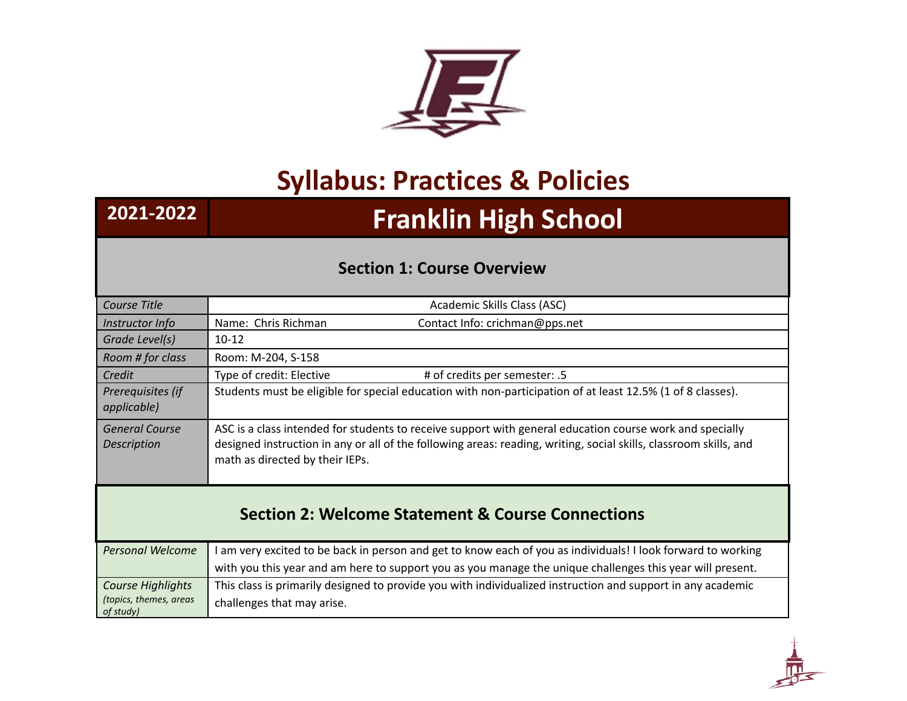

## **Syllabus: Practices & Policies**

## **2021-2022 Franklin High School**

## **Section 1: Course Overview**

| Course Title                                                 | Academic Skills Class (ASC)                                                                                                                                                                                                                                      |  |
|--------------------------------------------------------------|------------------------------------------------------------------------------------------------------------------------------------------------------------------------------------------------------------------------------------------------------------------|--|
| Instructor Info                                              | Name: Chris Richman<br>Contact Info: crichman@pps.net                                                                                                                                                                                                            |  |
| Grade Level(s)                                               | $10 - 12$                                                                                                                                                                                                                                                        |  |
| Room # for class                                             | Room: M-204, S-158                                                                                                                                                                                                                                               |  |
| Credit                                                       | Type of credit: Elective<br># of credits per semester: .5                                                                                                                                                                                                        |  |
| Prerequisites (if<br>applicable)                             | Students must be eligible for special education with non-participation of at least 12.5% (1 of 8 classes).                                                                                                                                                       |  |
| <b>General Course</b><br>Description                         | ASC is a class intended for students to receive support with general education course work and specially<br>designed instruction in any or all of the following areas: reading, writing, social skills, classroom skills, and<br>math as directed by their IEPs. |  |
| <b>Section 2: Welcome Statement &amp; Course Connections</b> |                                                                                                                                                                                                                                                                  |  |
| <b>Personal Welcome</b>                                      | I am very excited to be back in person and get to know each of you as individuals! I look forward to working<br>with you this year and am here to support you as you manage the unique challenges this year will present.                                        |  |
| Course Highlights<br>(topics, themes, areas<br>of study)     | This class is primarily designed to provide you with individualized instruction and support in any academic<br>challenges that may arise.                                                                                                                        |  |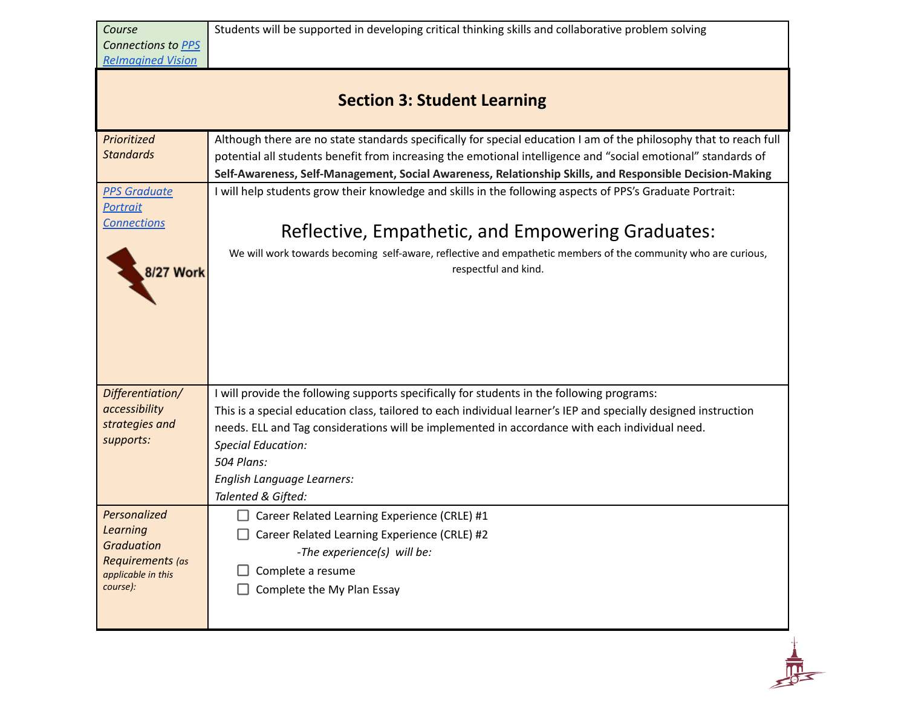|                                 | <b>Section 3: Student Learning</b>                                                                                                                                                                                                                                                                                                             |
|---------------------------------|------------------------------------------------------------------------------------------------------------------------------------------------------------------------------------------------------------------------------------------------------------------------------------------------------------------------------------------------|
|                                 |                                                                                                                                                                                                                                                                                                                                                |
| Prioritized<br><b>Standards</b> | Although there are no state standards specifically for special education I am of the philosophy that to reach full<br>potential all students benefit from increasing the emotional intelligence and "social emotional" standards of<br>Self-Awareness, Self-Management, Social Awareness, Relationship Skills, and Responsible Decision-Making |
| <b>PPS Graduate</b>             | I will help students grow their knowledge and skills in the following aspects of PPS's Graduate Portrait:                                                                                                                                                                                                                                      |
| <b>Portrait</b>                 |                                                                                                                                                                                                                                                                                                                                                |
| <b>Connections</b>              | Reflective, Empathetic, and Empowering Graduates:                                                                                                                                                                                                                                                                                              |
| 8/27 Work                       | We will work towards becoming self-aware, reflective and empathetic members of the community who are curious,<br>respectful and kind.                                                                                                                                                                                                          |
|                                 |                                                                                                                                                                                                                                                                                                                                                |
|                                 |                                                                                                                                                                                                                                                                                                                                                |
|                                 |                                                                                                                                                                                                                                                                                                                                                |
|                                 |                                                                                                                                                                                                                                                                                                                                                |
|                                 |                                                                                                                                                                                                                                                                                                                                                |
| Differentiation/                | I will provide the following supports specifically for students in the following programs:                                                                                                                                                                                                                                                     |
| accessibility                   | This is a special education class, tailored to each individual learner's IEP and specially designed instruction                                                                                                                                                                                                                                |
| strategies and<br>supports:     | needs. ELL and Tag considerations will be implemented in accordance with each individual need.                                                                                                                                                                                                                                                 |
|                                 | <b>Special Education:</b>                                                                                                                                                                                                                                                                                                                      |
|                                 | 504 Plans:                                                                                                                                                                                                                                                                                                                                     |
|                                 | English Language Learners:                                                                                                                                                                                                                                                                                                                     |
|                                 | Talented & Gifted:                                                                                                                                                                                                                                                                                                                             |
| Personalized<br>Learning        | Career Related Learning Experience (CRLE) #1                                                                                                                                                                                                                                                                                                   |
| <b>Graduation</b>               | Career Related Learning Experience (CRLE) #2                                                                                                                                                                                                                                                                                                   |
| Requirements (as                | -The experience(s) will be:                                                                                                                                                                                                                                                                                                                    |
| applicable in this              | Complete a resume                                                                                                                                                                                                                                                                                                                              |
| course):                        | Complete the My Plan Essay                                                                                                                                                                                                                                                                                                                     |
|                                 |                                                                                                                                                                                                                                                                                                                                                |

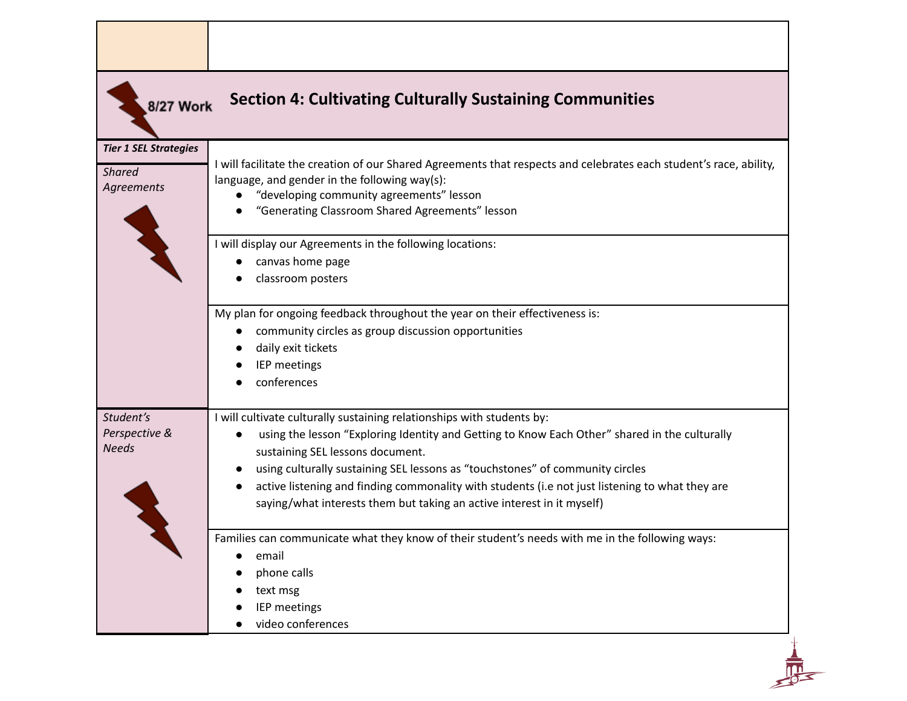| 8/27 Work                                                   | <b>Section 4: Cultivating Culturally Sustaining Communities</b>                                                                                                                                                                                                                                                                                                                                                                                                                        |
|-------------------------------------------------------------|----------------------------------------------------------------------------------------------------------------------------------------------------------------------------------------------------------------------------------------------------------------------------------------------------------------------------------------------------------------------------------------------------------------------------------------------------------------------------------------|
|                                                             |                                                                                                                                                                                                                                                                                                                                                                                                                                                                                        |
| <b>Tier 1 SEL Strategies</b><br><b>Shared</b><br>Agreements | I will facilitate the creation of our Shared Agreements that respects and celebrates each student's race, ability,<br>language, and gender in the following way(s):<br>"developing community agreements" lesson<br>"Generating Classroom Shared Agreements" lesson                                                                                                                                                                                                                     |
|                                                             | I will display our Agreements in the following locations:<br>canvas home page<br>classroom posters                                                                                                                                                                                                                                                                                                                                                                                     |
|                                                             | My plan for ongoing feedback throughout the year on their effectiveness is:<br>community circles as group discussion opportunities<br>daily exit tickets<br>IEP meetings<br>conferences                                                                                                                                                                                                                                                                                                |
| Student's<br>Perspective &<br><b>Needs</b>                  | I will cultivate culturally sustaining relationships with students by:<br>using the lesson "Exploring Identity and Getting to Know Each Other" shared in the culturally<br>$\bullet$<br>sustaining SEL lessons document.<br>using culturally sustaining SEL lessons as "touchstones" of community circles<br>active listening and finding commonality with students (i.e not just listening to what they are<br>saying/what interests them but taking an active interest in it myself) |
|                                                             | Families can communicate what they know of their student's needs with me in the following ways:<br>email<br>phone calls<br>text msg<br>IEP meetings<br>video conferences                                                                                                                                                                                                                                                                                                               |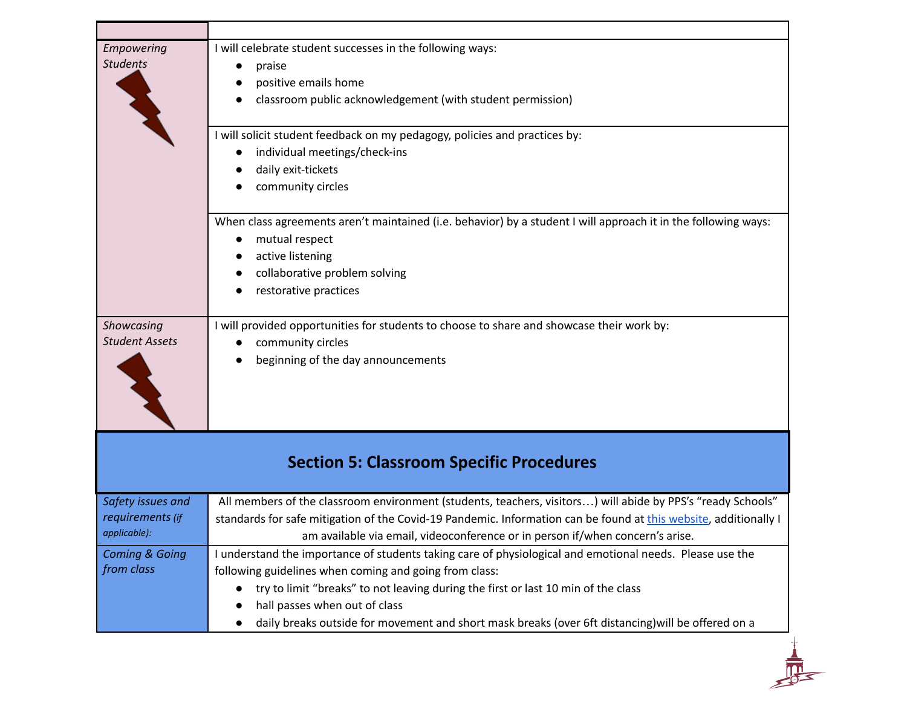| I will celebrate student successes in the following ways:<br>praise<br>positive emails home<br>classroom public acknowledgement (with student permission)                                                                                                                                                                                                                                      |
|------------------------------------------------------------------------------------------------------------------------------------------------------------------------------------------------------------------------------------------------------------------------------------------------------------------------------------------------------------------------------------------------|
| I will solicit student feedback on my pedagogy, policies and practices by:<br>individual meetings/check-ins<br>daily exit-tickets<br>community circles                                                                                                                                                                                                                                         |
| When class agreements aren't maintained (i.e. behavior) by a student I will approach it in the following ways:<br>mutual respect<br>active listening<br>collaborative problem solving<br>restorative practices                                                                                                                                                                                 |
| I will provided opportunities for students to choose to share and showcase their work by:<br>community circles<br>beginning of the day announcements                                                                                                                                                                                                                                           |
| <b>Section 5: Classroom Specific Procedures</b>                                                                                                                                                                                                                                                                                                                                                |
| All members of the classroom environment (students, teachers, visitors) will abide by PPS's "ready Schools"<br>standards for safe mitigation of the Covid-19 Pandemic. Information can be found at this website, additionally I<br>am available via email, videoconference or in person if/when concern's arise.                                                                               |
| I understand the importance of students taking care of physiological and emotional needs. Please use the<br>following guidelines when coming and going from class:<br>try to limit "breaks" to not leaving during the first or last 10 min of the class<br>hall passes when out of class<br>daily breaks outside for movement and short mask breaks (over 6ft distancing) will be offered on a |
|                                                                                                                                                                                                                                                                                                                                                                                                |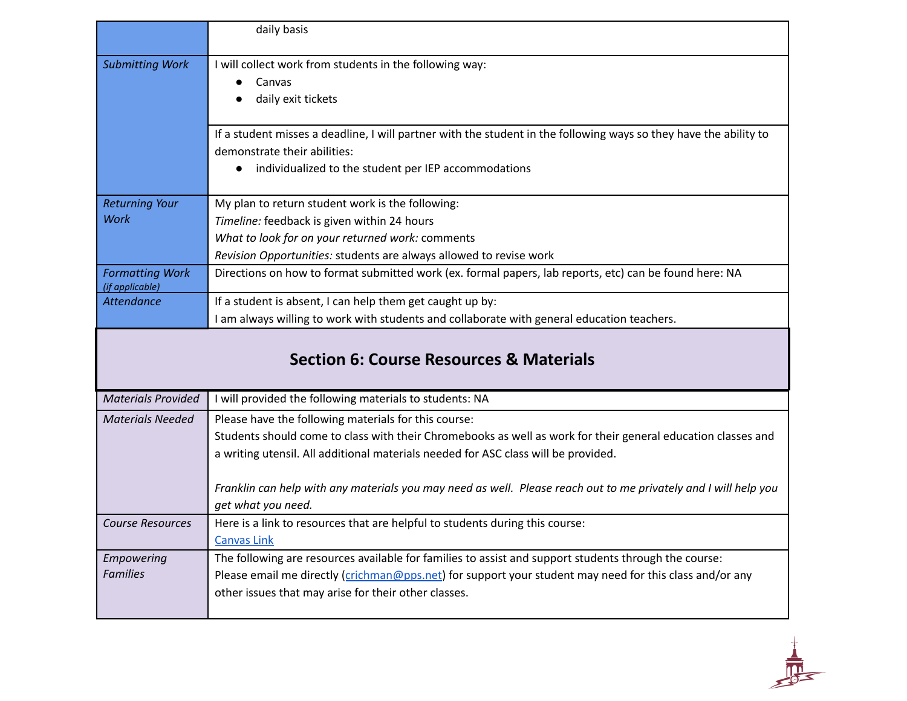|                                           | daily basis                                                                                                                                                                                                                                                              |
|-------------------------------------------|--------------------------------------------------------------------------------------------------------------------------------------------------------------------------------------------------------------------------------------------------------------------------|
| <b>Submitting Work</b>                    | I will collect work from students in the following way:<br>Canvas<br>daily exit tickets                                                                                                                                                                                  |
|                                           | If a student misses a deadline, I will partner with the student in the following ways so they have the ability to<br>demonstrate their abilities:<br>individualized to the student per IEP accommodations                                                                |
| <b>Returning Your</b>                     | My plan to return student work is the following:                                                                                                                                                                                                                         |
| <b>Work</b>                               | Timeline: feedback is given within 24 hours                                                                                                                                                                                                                              |
|                                           | What to look for on your returned work: comments                                                                                                                                                                                                                         |
|                                           | Revision Opportunities: students are always allowed to revise work                                                                                                                                                                                                       |
| <b>Formatting Work</b><br>(if applicable) | Directions on how to format submitted work (ex. formal papers, lab reports, etc) can be found here: NA                                                                                                                                                                   |
| <b>Attendance</b>                         | If a student is absent, I can help them get caught up by:                                                                                                                                                                                                                |
|                                           | I am always willing to work with students and collaborate with general education teachers.                                                                                                                                                                               |
|                                           | <b>Section 6: Course Resources &amp; Materials</b>                                                                                                                                                                                                                       |
| <b>Materials Provided</b>                 | I will provided the following materials to students: NA                                                                                                                                                                                                                  |
| <b>Materials Needed</b>                   | Please have the following materials for this course:                                                                                                                                                                                                                     |
|                                           | Students should come to class with their Chromebooks as well as work for their general education classes and                                                                                                                                                             |
|                                           | a writing utensil. All additional materials needed for ASC class will be provided.                                                                                                                                                                                       |
|                                           | Franklin can help with any materials you may need as well. Please reach out to me privately and I will help you                                                                                                                                                          |
|                                           | get what you need.                                                                                                                                                                                                                                                       |
| <b>Course Resources</b>                   | Here is a link to resources that are helpful to students during this course:<br><b>Canvas Link</b>                                                                                                                                                                       |
| Empowering<br><b>Families</b>             | The following are resources available for families to assist and support students through the course:<br>Please email me directly (crichman@pps.net) for support your student may need for this class and/or any<br>other issues that may arise for their other classes. |

 $\frac{1}{\sqrt{1}}$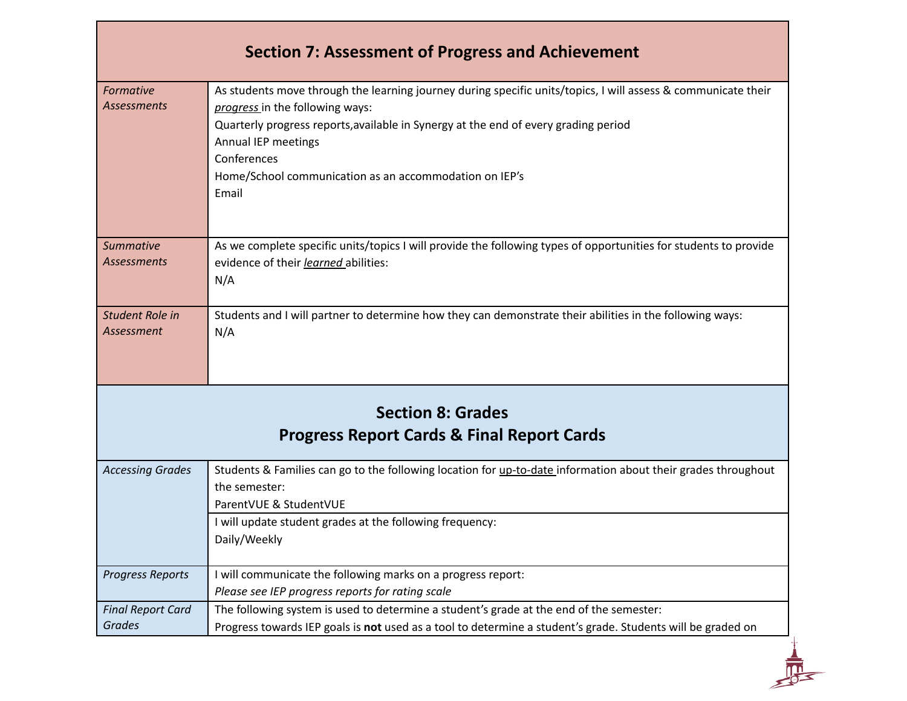| <b>Section 7: Assessment of Progress and Achievement</b>                          |                                                                                                                                                                                                                                                                                                                                                  |  |
|-----------------------------------------------------------------------------------|--------------------------------------------------------------------------------------------------------------------------------------------------------------------------------------------------------------------------------------------------------------------------------------------------------------------------------------------------|--|
| Formative<br><b>Assessments</b>                                                   | As students move through the learning journey during specific units/topics, I will assess & communicate their<br>progress in the following ways:<br>Quarterly progress reports, available in Synergy at the end of every grading period<br>Annual IEP meetings<br>Conferences<br>Home/School communication as an accommodation on IEP's<br>Email |  |
| <b>Summative</b><br><b>Assessments</b>                                            | As we complete specific units/topics I will provide the following types of opportunities for students to provide<br>evidence of their learned abilities:<br>N/A                                                                                                                                                                                  |  |
| Student Role in<br>Assessment                                                     | Students and I will partner to determine how they can demonstrate their abilities in the following ways:<br>N/A                                                                                                                                                                                                                                  |  |
| <b>Section 8: Grades</b><br><b>Progress Report Cards &amp; Final Report Cards</b> |                                                                                                                                                                                                                                                                                                                                                  |  |
| <b>Accessing Grades</b>                                                           | Students & Families can go to the following location for up-to-date information about their grades throughout<br>the semester:<br>ParentVUE & StudentVUE<br>I will update student grades at the following frequency:<br>Daily/Weekly                                                                                                             |  |
| <b>Progress Reports</b>                                                           | I will communicate the following marks on a progress report:<br>Please see IEP progress reports for rating scale                                                                                                                                                                                                                                 |  |
| <b>Final Report Card</b><br><b>Grades</b>                                         | The following system is used to determine a student's grade at the end of the semester:<br>Progress towards IEP goals is not used as a tool to determine a student's grade. Students will be graded on                                                                                                                                           |  |
|                                                                                   |                                                                                                                                                                                                                                                                                                                                                  |  |